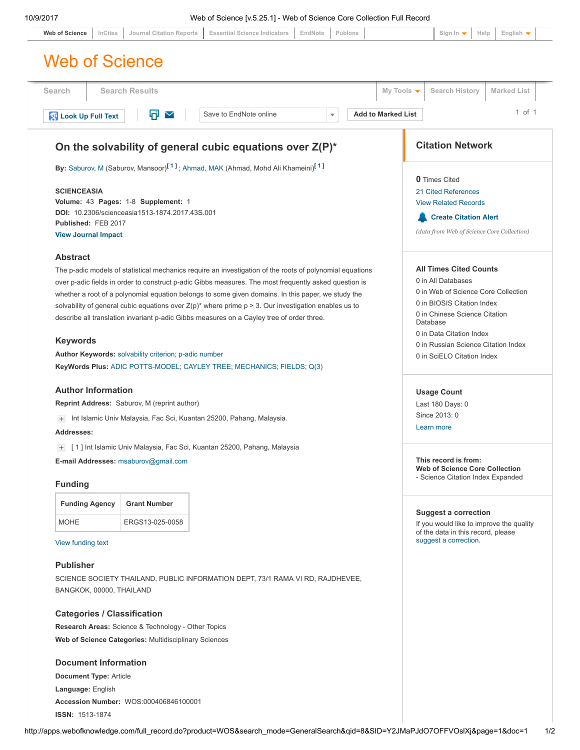<span id="page-0-0"></span>ISSN: 1513-1874

| Search                                                                                                                                                                                                           | <b>Search Results</b>                                                                                   |  |                        |  |  |                      |                                                                            | My Tools $\blacktriangledown$                                     |                              | <b>Search History</b>                                                          |  | <b>Marked List</b> |            |
|------------------------------------------------------------------------------------------------------------------------------------------------------------------------------------------------------------------|---------------------------------------------------------------------------------------------------------|--|------------------------|--|--|----------------------|----------------------------------------------------------------------------|-------------------------------------------------------------------|------------------------------|--------------------------------------------------------------------------------|--|--------------------|------------|
|                                                                                                                                                                                                                  |                                                                                                         |  |                        |  |  |                      |                                                                            |                                                                   |                              |                                                                                |  |                    | $1$ of $1$ |
| Look Up Full Text                                                                                                                                                                                                | Π<br>$\checkmark$                                                                                       |  | Save to EndNote online |  |  | $\blacktriangledown$ |                                                                            | <b>Add to Marked List</b>                                         |                              |                                                                                |  |                    |            |
|                                                                                                                                                                                                                  | On the solvability of general cubic equations over Z(P)*                                                |  |                        |  |  |                      |                                                                            |                                                                   |                              | <b>Citation Network</b>                                                        |  |                    |            |
|                                                                                                                                                                                                                  | By: Saburov, M (Saburov, Mansoor) <sup>[1]</sup> ; Ahmad, MAK (Ahmad, Mohd Ali Khameini) <sup>[1]</sup> |  |                        |  |  |                      |                                                                            |                                                                   |                              |                                                                                |  |                    |            |
| <b>SCIENCEASIA</b>                                                                                                                                                                                               |                                                                                                         |  |                        |  |  |                      |                                                                            | <b>0</b> Times Cited<br>21 Cited References                       |                              |                                                                                |  |                    |            |
| Volume: 43 Pages: 1-8 Supplement: 1                                                                                                                                                                              |                                                                                                         |  |                        |  |  |                      |                                                                            | <b>View Related Records</b>                                       |                              |                                                                                |  |                    |            |
| DOI: 10.2306/scienceasia1513-1874.2017.43S.001                                                                                                                                                                   |                                                                                                         |  |                        |  |  |                      |                                                                            |                                                                   | <b>Create Citation Alert</b> |                                                                                |  |                    |            |
| Published: FEB 2017                                                                                                                                                                                              |                                                                                                         |  |                        |  |  |                      |                                                                            |                                                                   |                              | (data from Web of Science Core Collection)                                     |  |                    |            |
| <b>View Journal Impact</b>                                                                                                                                                                                       |                                                                                                         |  |                        |  |  |                      |                                                                            |                                                                   |                              |                                                                                |  |                    |            |
| <b>Abstract</b>                                                                                                                                                                                                  |                                                                                                         |  |                        |  |  |                      |                                                                            |                                                                   |                              |                                                                                |  |                    |            |
| The p-adic models of statistical mechanics require an investigation of the roots of polynomial equations                                                                                                         |                                                                                                         |  |                        |  |  |                      |                                                                            | <b>All Times Cited Counts</b>                                     |                              |                                                                                |  |                    |            |
| over p-adic fields in order to construct p-adic Gibbs measures. The most frequently asked question is                                                                                                            |                                                                                                         |  |                        |  |  |                      |                                                                            | 0 in All Databases                                                |                              |                                                                                |  |                    |            |
| whether a root of a polynomial equation belongs to some given domains. In this paper, we study the<br>solvability of general cubic equations over $Z(p)^*$ where prime $p > 3$ . Our investigation enables us to |                                                                                                         |  |                        |  |  |                      |                                                                            | 0 in Web of Science Core Collection<br>0 in BIOSIS Citation Index |                              |                                                                                |  |                    |            |
|                                                                                                                                                                                                                  | describe all translation invariant p-adic Gibbs measures on a Cayley tree of order three.               |  |                        |  |  |                      |                                                                            |                                                                   |                              | 0 in Chinese Science Citation                                                  |  |                    |            |
|                                                                                                                                                                                                                  |                                                                                                         |  |                        |  |  |                      |                                                                            |                                                                   |                              | Database                                                                       |  |                    |            |
| <b>Keywords</b>                                                                                                                                                                                                  |                                                                                                         |  |                        |  |  |                      |                                                                            | 0 in Data Citation Index<br>0 in Russian Science Citation Index   |                              |                                                                                |  |                    |            |
| Author Keywords: solvability criterion; p-adic number                                                                                                                                                            |                                                                                                         |  |                        |  |  |                      |                                                                            | 0 in SciELO Citation Index                                        |                              |                                                                                |  |                    |            |
|                                                                                                                                                                                                                  | KeyWords Plus: ADIC POTTS-MODEL; CAYLEY TREE; MECHANICS; FIELDS; Q(3)                                   |  |                        |  |  |                      |                                                                            |                                                                   |                              |                                                                                |  |                    |            |
| <b>Author Information</b>                                                                                                                                                                                        |                                                                                                         |  |                        |  |  |                      |                                                                            |                                                                   |                              | <b>Usage Count</b>                                                             |  |                    |            |
| Reprint Address: Saburov, M (reprint author)                                                                                                                                                                     |                                                                                                         |  |                        |  |  |                      |                                                                            | Last 180 Days: 0                                                  |                              |                                                                                |  |                    |            |
| + Int Islamic Univ Malaysia, Fac Sci, Kuantan 25200, Pahang, Malaysia.                                                                                                                                           |                                                                                                         |  |                        |  |  |                      | Since 2013: 0                                                              |                                                                   |                              |                                                                                |  |                    |            |
| Addresses:                                                                                                                                                                                                       |                                                                                                         |  |                        |  |  |                      | Learn more                                                                 |                                                                   |                              |                                                                                |  |                    |            |
|                                                                                                                                                                                                                  | [1] Int Islamic Univ Malaysia, Fac Sci, Kuantan 25200, Pahang, Malaysia                                 |  |                        |  |  |                      |                                                                            |                                                                   |                              |                                                                                |  |                    |            |
|                                                                                                                                                                                                                  |                                                                                                         |  |                        |  |  |                      |                                                                            |                                                                   |                              | This record is from:                                                           |  |                    |            |
| E-mail Addresses: msaburov@gmail.com                                                                                                                                                                             |                                                                                                         |  |                        |  |  |                      | <b>Web of Science Core Collection</b><br>- Science Citation Index Expanded |                                                                   |                              |                                                                                |  |                    |            |
| <b>Funding</b>                                                                                                                                                                                                   |                                                                                                         |  |                        |  |  |                      |                                                                            |                                                                   |                              |                                                                                |  |                    |            |
| <b>Funding Agency</b>                                                                                                                                                                                            | <b>Grant Number</b>                                                                                     |  |                        |  |  |                      |                                                                            |                                                                   |                              | <b>Suggest a correction</b>                                                    |  |                    |            |
| <b>MOHE</b>                                                                                                                                                                                                      | ERGS13-025-0058                                                                                         |  |                        |  |  |                      |                                                                            |                                                                   |                              | If you would like to improve the quality<br>of the data in this record, please |  |                    |            |
| View funding text                                                                                                                                                                                                |                                                                                                         |  |                        |  |  |                      |                                                                            |                                                                   |                              | suggest a correction.                                                          |  |                    |            |
| <b>Publisher</b>                                                                                                                                                                                                 |                                                                                                         |  |                        |  |  |                      |                                                                            |                                                                   |                              |                                                                                |  |                    |            |
|                                                                                                                                                                                                                  | SCIENCE SOCIETY THAILAND, PUBLIC INFORMATION DEPT, 73/1 RAMA VI RD, RAJDHEVEE,                          |  |                        |  |  |                      |                                                                            |                                                                   |                              |                                                                                |  |                    |            |
| BANGKOK, 00000, THAILAND                                                                                                                                                                                         |                                                                                                         |  |                        |  |  |                      |                                                                            |                                                                   |                              |                                                                                |  |                    |            |
| <b>Categories / Classification</b>                                                                                                                                                                               |                                                                                                         |  |                        |  |  |                      |                                                                            |                                                                   |                              |                                                                                |  |                    |            |
|                                                                                                                                                                                                                  | <b>Research Areas: Science &amp; Technology - Other Topics</b>                                          |  |                        |  |  |                      |                                                                            |                                                                   |                              |                                                                                |  |                    |            |
|                                                                                                                                                                                                                  |                                                                                                         |  |                        |  |  |                      |                                                                            |                                                                   |                              |                                                                                |  |                    |            |